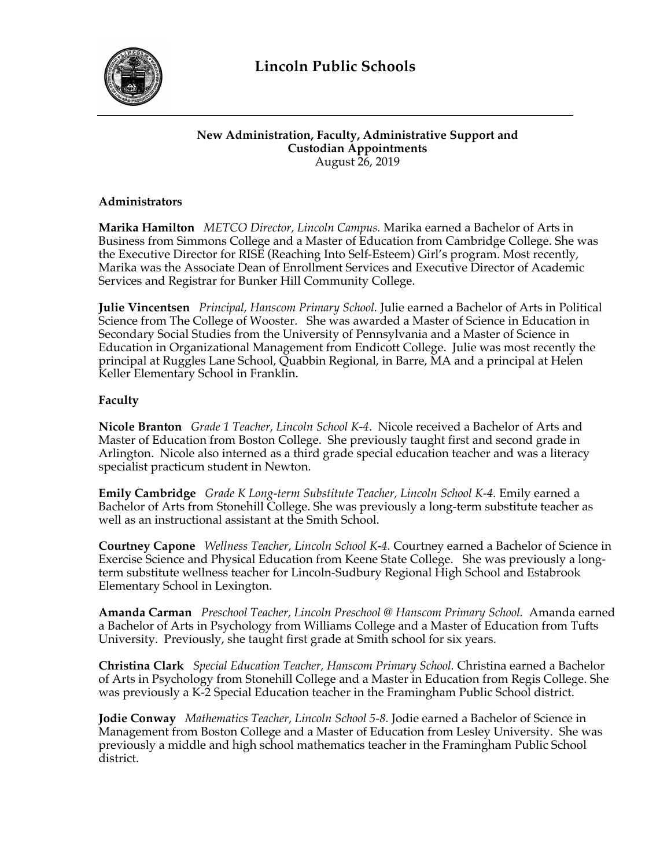

## **New Administration, Faculty, Administrative Support and Custodian Appointments** August 26, 2019

## **Administrators**

**Marika Hamilton** *METCO Director, Lincoln Campus.* Marika earned a Bachelor of Arts in Business from Simmons College and a Master of Education from Cambridge College. She was the Executive Director for RISE (Reaching Into Self-Esteem) Girl's program. Most recently, Marika was the Associate Dean of Enrollment Services and Executive Director of Academic Services and Registrar for Bunker Hill Community College.

**Julie Vincentsen** *Principal, Hanscom Primary School.* Julie earned a Bachelor of Arts in Political Science from The College of Wooster. She was awarded a Master of Science in Education in Secondary Social Studies from the University of Pennsylvania and a Master of Science in Education in Organizational Management from Endicott College. Julie was most recently the principal at Ruggles Lane School, Quabbin Regional, in Barre, MA and a principal at Helen Keller Elementary School in Franklin.

# **Faculty**

**Nicole Branton** *Grade 1 Teacher, Lincoln School K-4*. Nicole received a Bachelor of Arts and Master of Education from Boston College. She previously taught first and second grade in Arlington. Nicole also interned as a third grade special education teacher and was a literacy specialist practicum student in Newton.

**Emily Cambridge** *Grade K Long-term Substitute Teacher, Lincoln School K-4.* Emily earned a Bachelor of Arts from Stonehill College. She was previously a long-term substitute teacher as well as an instructional assistant at the Smith School.

**Courtney Capone** *Wellness Teacher, Lincoln School K-4.* Courtney earned a Bachelor of Science in Exercise Science and Physical Education from Keene State College. She was previously a longterm substitute wellness teacher for Lincoln-Sudbury Regional High School and Estabrook Elementary School in Lexington.

**Amanda Carman** *Preschool Teacher, Lincoln Preschool @ Hanscom Primary School.* Amanda earned a Bachelor of Arts in Psychology from Williams College and a Master of Education from Tufts University. Previously, she taught first grade at Smith school for six years.

**Christina Clark** *Special Education Teacher, Hanscom Primary School.* Christina earned a Bachelor of Arts in Psychology from Stonehill College and a Master in Education from Regis College. She was previously a K-2 Special Education teacher in the Framingham Public School district.

**Jodie Conway** *Mathematics Teacher, Lincoln School 5-8.* Jodie earned a Bachelor of Science in Management from Boston College and a Master of Education from Lesley University. She was previously a middle and high school mathematics teacher in the Framingham Public School district.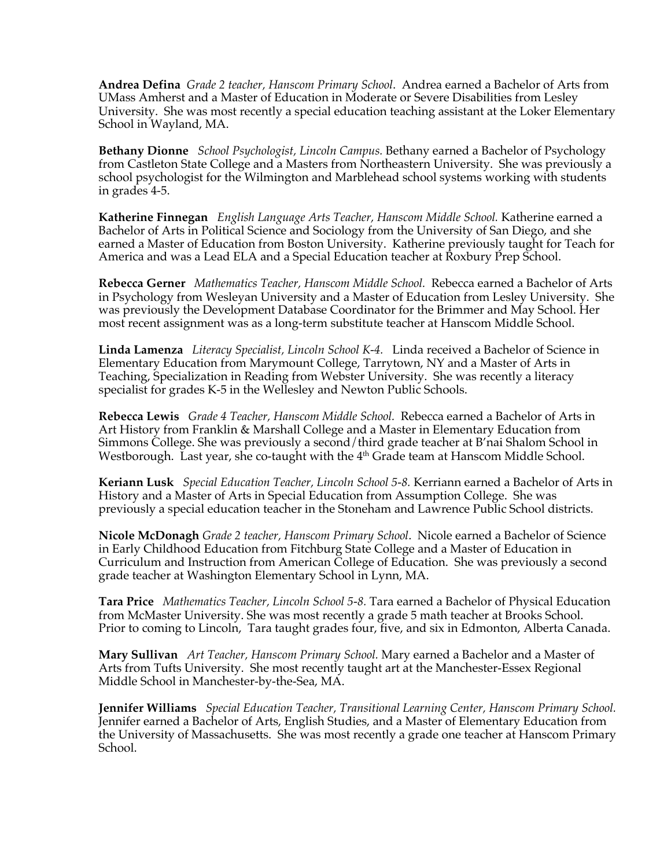**Andrea Defina** *Grade 2 teacher, Hanscom Primary School*. Andrea earned a Bachelor of Arts from UMass Amherst and a Master of Education in Moderate or Severe Disabilities from Lesley University. She was most recently a special education teaching assistant at the Loker Elementary School in Wayland, MA.

**Bethany Dionne** *School Psychologist, Lincoln Campus.* Bethany earned a Bachelor of Psychology from Castleton State College and a Masters from Northeastern University. She was previously a school psychologist for the Wilmington and Marblehead school systems working with students in grades 4-5.

**Katherine Finnegan** *English Language Arts Teacher, Hanscom Middle School.* Katherine earned a Bachelor of Arts in Political Science and Sociology from the University of San Diego, and she earned a Master of Education from Boston University. Katherine previously taught for Teach for America and was a Lead ELA and a Special Education teacher at Roxbury Prep School.

**Rebecca Gerner** *Mathematics Teacher, Hanscom Middle School.* Rebecca earned a Bachelor of Arts in Psychology from Wesleyan University and a Master of Education from Lesley University. She was previously the Development Database Coordinator for the Brimmer and May School. Her most recent assignment was as a long-term substitute teacher at Hanscom Middle School.

**Linda Lamenza** *Literacy Specialist, Lincoln School K-4.* Linda received a Bachelor of Science in Elementary Education from Marymount College, Tarrytown, NY and a Master of Arts in Teaching, Specialization in Reading from Webster University. She was recently a literacy specialist for grades K-5 in the Wellesley and Newton Public Schools.

**Rebecca Lewis** *Grade 4 Teacher, Hanscom Middle School.* Rebecca earned a Bachelor of Arts in Art History from Franklin & Marshall College and a Master in Elementary Education from Simmons College. She was previously a second/third grade teacher at B'nai Shalom School in Westborough. Last year, she co-taught with the  $4<sup>th</sup>$  Grade team at Hanscom Middle School.

**Keriann Lusk** *Special Education Teacher, Lincoln School 5-8.* Kerriann earned a Bachelor of Arts in History and a Master of Arts in Special Education from Assumption College. She was previously a special education teacher in the Stoneham and Lawrence Public School districts.

**Nicole McDonagh** *Grade 2 teacher, Hanscom Primary School*. Nicole earned a Bachelor of Science in Early Childhood Education from Fitchburg State College and a Master of Education in Curriculum and Instruction from American College of Education. She was previously a second grade teacher at Washington Elementary School in Lynn, MA.

**Tara Price** *Mathematics Teacher, Lincoln School 5-8.* Tara earned a Bachelor of Physical Education from McMaster University. She was most recently a grade 5 math teacher at Brooks School. Prior to coming to Lincoln, Tara taught grades four, five, and six in Edmonton, Alberta Canada.

**Mary Sullivan** *Art Teacher, Hanscom Primary School.* Mary earned a Bachelor and a Master of Arts from Tufts University. She most recently taught art at the Manchester-Essex Regional Middle School in Manchester-by-the-Sea, MA.

**Jennifer Williams** *Special Education Teacher, Transitional Learning Center, Hanscom Primary School.*  Jennifer earned a Bachelor of Arts, English Studies, and a Master of Elementary Education from the University of Massachusetts. She was most recently a grade one teacher at Hanscom Primary School.